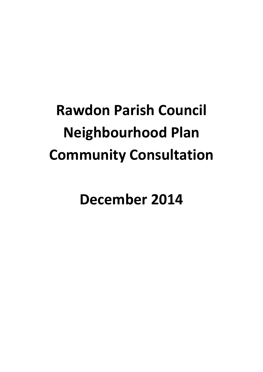# **Rawdon Parish Council Neighbourhood Plan Community Consultation**

**December 2014**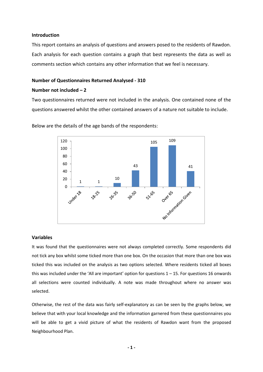#### **Introduction**

This report contains an analysis of questions and answers posed to the residents of Rawdon. Each analysis for each question contains a graph that best represents the data as well as comments section which contains any other information that we feel is necessary.

#### **Number of Questionnaires Returned Analysed - 310**

#### **Number not included – 2**

Two questionnaires returned were not included in the analysis. One contained none of the questions answered whilst the other contained answers of a nature not suitable to include.



Below are the details of the age bands of the respondents:

#### **Variables**

It was found that the questionnaires were not always completed correctly. Some respondents did not tick any box whilst some ticked more than one box. On the occasion that more than one box was ticked this was included on the analysis as two options selected. Where residents ticked all boxes this was included under the 'All are important' option for questions  $1 - 15$ . For questions 16 onwards all selections were counted individually. A note was made throughout where no answer was selected.

Otherwise, the rest of the data was fairly self-explanatory as can be seen by the graphs below, we believe that with your local knowledge and the information garnered from these questionnaires you will be able to get a vivid picture of what the residents of Rawdon want from the proposed Neighbourhood Plan.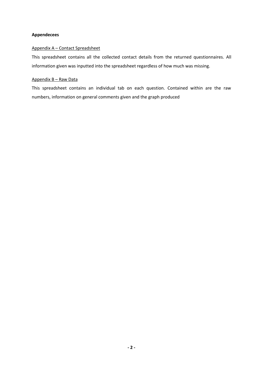#### **Appendecees**

#### Appendix A – Contact Spreadsheet

This spreadsheet contains all the collected contact details from the returned questionnaires. All information given was inputted into the spreadsheet regardless of how much was missing.

#### Appendix B – Raw Data

This spreadsheet contains an individual tab on each question. Contained within are the raw numbers, information on general comments given and the graph produced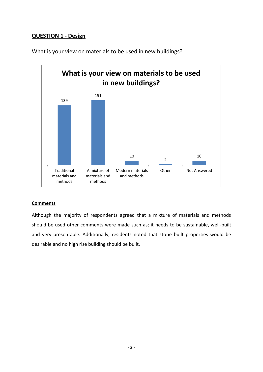# **QUESTION 1 - Design**



What is your view on materials to be used in new buildings?

## **Comments**

Although the majority of respondents agreed that a mixture of materials and methods should be used other comments were made such as; it needs to be sustainable, well-built and very presentable. Additionally, residents noted that stone built properties would be desirable and no high rise building should be built.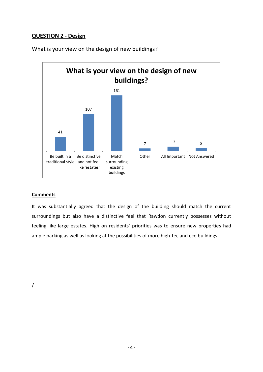## **QUESTION 2 - Design**



What is your view on the design of new buildings?

## **Comments**

It was substantially agreed that the design of the building should match the current surroundings but also have a distinctive feel that Rawdon currently possesses without feeling like large estates. High on residents' priorities was to ensure new properties had ample parking as well as looking at the possibilities of more high-tec and eco buildings.

/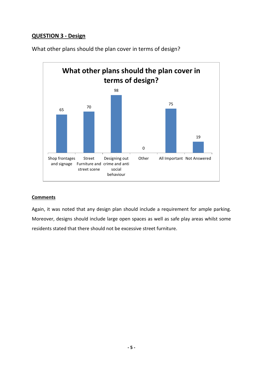# **QUESTION 3 - Design**



What other plans should the plan cover in terms of design?

## **Comments**

Again, it was noted that any design plan should include a requirement for ample parking. Moreover, designs should include large open spaces as well as safe play areas whilst some residents stated that there should not be excessive street furniture.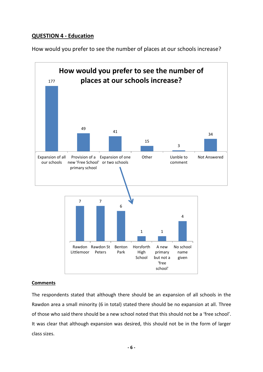# **QUESTION 4 - Education**

How would you prefer to see the number of places at our schools increase?



#### **Comments**

The respondents stated that although there should be an expansion of all schools in the Rawdon area a small minority (6 in total) stated there should be no expansion at all. Three of those who said there should be a new school noted that this should not be a 'free school'. It was clear that although expansion was desired, this should not be in the form of larger class sizes.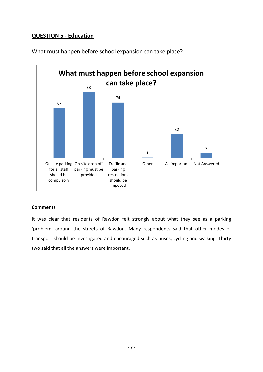# **QUESTION 5 - Education**



What must happen before school expansion can take place?

## **Comments**

It was clear that residents of Rawdon felt strongly about what they see as a parking 'problem' around the streets of Rawdon. Many respondents said that other modes of transport should be investigated and encouraged such as buses, cycling and walking. Thirty two said that all the answers were important.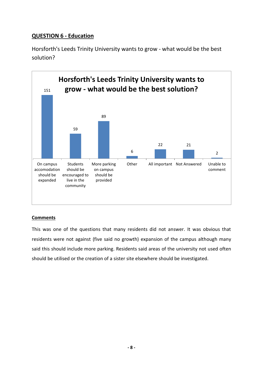# **QUESTION 6 - Education**

Horsforth's Leeds Trinity University wants to grow - what would be the best solution?



## **Comments**

This was one of the questions that many residents did not answer. It was obvious that residents were not against (five said no growth) expansion of the campus although many said this should include more parking. Residents said areas of the university not used often should be utilised or the creation of a sister site elsewhere should be investigated.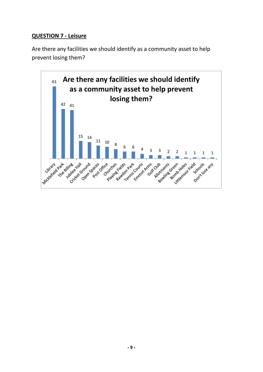# **QUESTION 7 - Leisure**

Are there any facilities we should identify as a community asset to help prevent losing them?

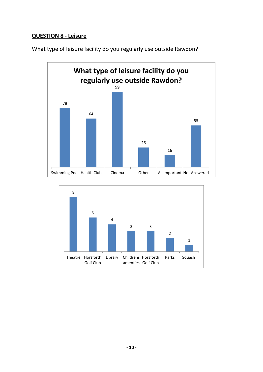# **QUESTION 8 - Leisure**



What type of leisure facility do you regularly use outside Rawdon?

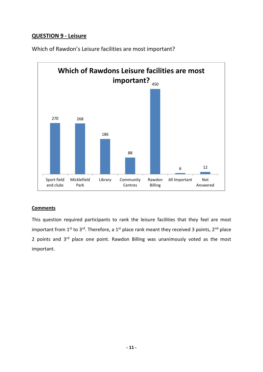# **QUESTION 9 - Leisure**



Which of Rawdon's Leisure facilities are most important?

## **Comments**

This question required participants to rank the leisure facilities that they feel are most important from 1<sup>st</sup> to 3<sup>rd</sup>. Therefore, a 1<sup>st</sup> place rank meant they received 3 points, 2<sup>nd</sup> place 2 points and 3<sup>rd</sup> place one point. Rawdon Billing was unanimously voted as the most important.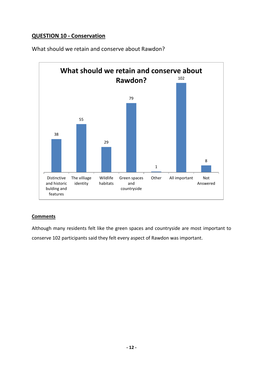# **QUESTION 10 - Conservation**



What should we retain and conserve about Rawdon?

## **Comments**

Although many residents felt like the green spaces and countryside are most important to conserve 102 participants said they felt every aspect of Rawdon was important.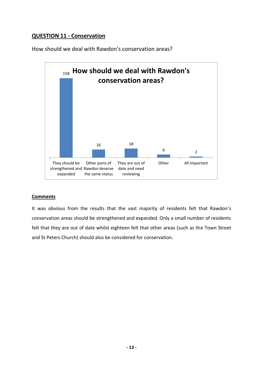# **QUESTION 11 - Conservation**

How should we deal with Rawdon's conservation areas?



## **Comments**

It was obvious from the results that the vast majority of residents felt that Rawdon's conservation areas should be strengthened and expanded. Only a small number of residents felt that they are out of date whilst eighteen felt that other areas (such as the Town Street and St Peters Church) should also be considered for conservation.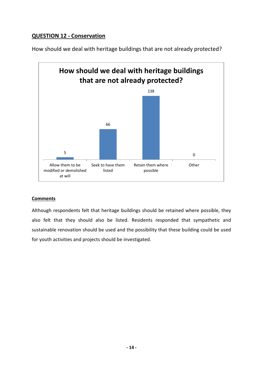# **QUESTION 12 - Conservation**



How should we deal with heritage buildings that are not already protected?

## **Comments**

Although respondents felt that heritage buildings should be retained where possible, they also felt that they should also be listed. Residents responded that sympathetic and sustainable renovation should be used and the possibility that these building could be used for youth activities and projects should be investigated.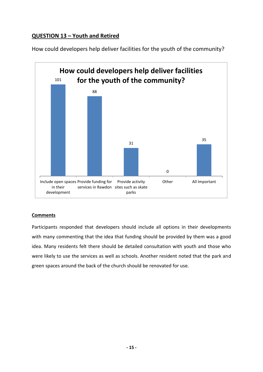# **QUESTION 13 – Youth and Retired**





## **Comments**

Participants responded that developers should include all options in their developments with many commenting that the idea that funding should be provided by them was a good idea. Many residents felt there should be detailed consultation with youth and those who were likely to use the services as well as schools. Another resident noted that the park and green spaces around the back of the church should be renovated for use.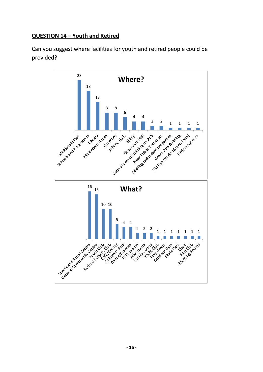# **QUESTION 14 – Youth and Retired**

Can you suggest where facilities for youth and retired people could be provided?

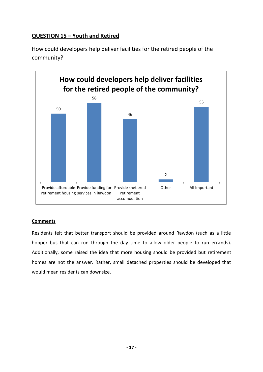# **QUESTION 15 – Youth and Retired**

How could developers help deliver facilities for the retired people of the community?



## **Comments**

Residents felt that better transport should be provided around Rawdon (such as a little hopper bus that can run through the day time to allow older people to run errands). Additionally, some raised the idea that more housing should be provided but retirement homes are not the answer. Rather, small detached properties should be developed that would mean residents can downsize.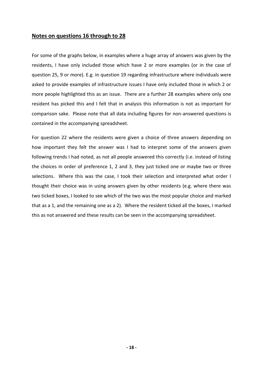## **Notes on questions 16 through to 28**

For some of the graphs below, in examples where a huge array of answers was given by the residents, I have only included those which have 2 or more examples (or in the case of question 25, 9 or more). E.g. in question 19 regarding infrastructure where individuals were asked to provide examples of infrastructure issues I have only included those in which 2 or more people highlighted this as an issue. There are a further 28 examples where only one resident has picked this and I felt that in analysis this information is not as important for comparison sake. Please note that all data including figures for non-answered questions is contained in the accompanying spreadsheet.

For question 22 where the residents were given a choice of three answers depending on how important they felt the answer was I had to interpret some of the answers given following trends I had noted, as not all people answered this correctly (i.e. instead of listing the choices in order of preference 1, 2 and 3, they just ticked one or maybe two or three selections. Where this was the case, I took their selection and interpreted what order I thought their choice was in using answers given by other residents (e.g. where there was two ticked boxes, I looked to see which of the two was the most popular choice and marked that as a 1, and the remaining one as a 2). Where the resident ticked all the boxes, I marked this as not answered and these results can be seen in the accompanying spreadsheet.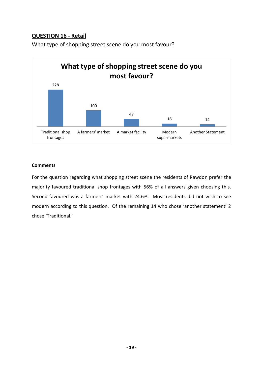# **QUESTION 16 - Retail**



What type of shopping street scene do you most favour?

## **Comments**

For the question regarding what shopping street scene the residents of Rawdon prefer the majority favoured traditional shop frontages with 56% of all answers given choosing this. Second favoured was a farmers' market with 24.6%. Most residents did not wish to see modern according to this question. Of the remaining 14 who chose 'another statement' 2 chose 'Traditional.'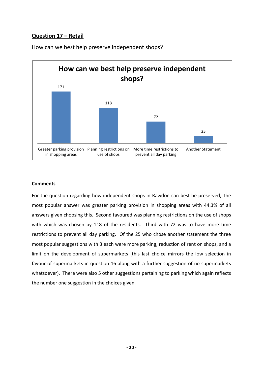# **Question 17 – Retail**



How can we best help preserve independent shops?

## **Comments**

For the question regarding how independent shops in Rawdon can best be preserved, The most popular answer was greater parking provision in shopping areas with 44.3% of all answers given choosing this. Second favoured was planning restrictions on the use of shops with which was chosen by 118 of the residents. Third with 72 was to have more time restrictions to prevent all day parking. Of the 25 who chose another statement the three most popular suggestions with 3 each were more parking, reduction of rent on shops, and a limit on the development of supermarkets (this last choice mirrors the low selection in favour of supermarkets in question 16 along with a further suggestion of no supermarkets whatsoever). There were also 5 other suggestions pertaining to parking which again reflects the number one suggestion in the choices given.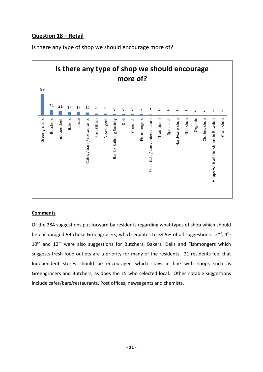# **Question 18 – Retail**

Is there any type of shop we should encourage more of?



## **Comments**

Of the 284 suggestions put forward by residents regarding what types of shop which should be encouraged 99 chose Greengrocers, which equates to 34.9% of all suggestions.  $2^{nd}$ ,  $4^{th}$ ,  $10<sup>th</sup>$  and  $12<sup>th</sup>$  were also suggestions for Butchers, Bakers, Delis and Fishmongers which suggests fresh food outlets are a priority for many of the residents. 21 residents feel that Independent stores should be encouraged which stays in line with shops such as Greengrocers and Butchers, as does the 15 who selected local. Other notable suggestions include cafes/bars/restaurants, Post offices, newsagents and chemists.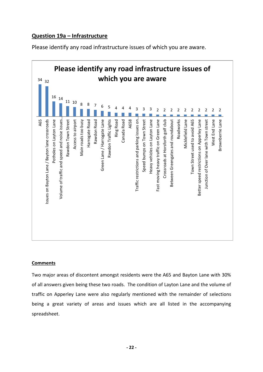# **Question 19a – Infrastructure**

Please identify any road infrastructure issues of which you are aware.



## **Comments**

Two major areas of discontent amongst residents were the A65 and Bayton Lane with 30% of all answers given being these two roads. The condition of Layton Lane and the volume of traffic on Apperley Lane were also regularly mentioned with the remainder of selections being a great variety of areas and issues which are all listed in the accompanying spreadsheet.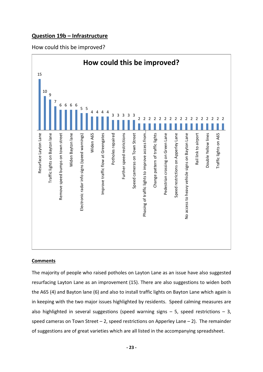## **Question 19b – Infrastructure**

How could this be improved?



## **Comments**

The majority of people who raised potholes on Layton Lane as an issue have also suggested resurfacing Layton Lane as an improvement (15). There are also suggestions to widen both the A65 (4) and Bayton lane (6) and also to install traffic lights on Bayton Lane which again is in keeping with the two major issues highlighted by residents. Speed calming measures are also highlighted in several suggestions (speed warning signs  $-$  5, speed restrictions  $-$  3, speed cameras on Town Street  $-2$ , speed restrictions on Apperley Lane  $-2$ ). The remainder of suggestions are of great varieties which are all listed in the accompanying spreadsheet.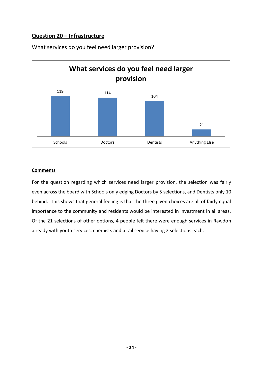# **Question 20 – Infrastructure**



What services do you feel need larger provision?

## **Comments**

For the question regarding which services need larger provision, the selection was fairly even across the board with Schools only edging Doctors by 5 selections, and Dentists only 10 behind. This shows that general feeling is that the three given choices are all of fairly equal importance to the community and residents would be interested in investment in all areas. Of the 21 selections of other options, 4 people felt there were enough services in Rawdon already with youth services, chemists and a rail service having 2 selections each.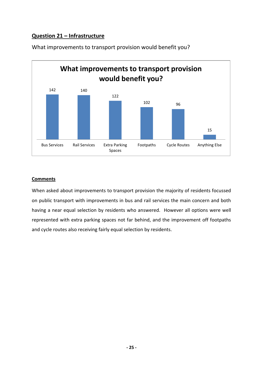# **Question 21 – Infrastructure**



What improvements to transport provision would benefit you?

## **Comments**

When asked about improvements to transport provision the majority of residents focussed on public transport with improvements in bus and rail services the main concern and both having a near equal selection by residents who answered. However all options were well represented with extra parking spaces not far behind, and the improvement off footpaths and cycle routes also receiving fairly equal selection by residents.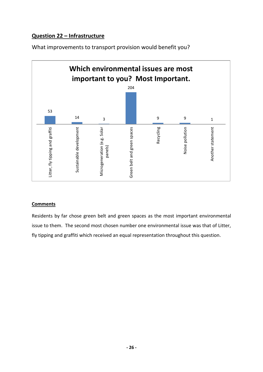# **Question 22 – Infrastructure**

What improvements to transport provision would benefit you?



## **Comments**

Residents by far chose green belt and green spaces as the most important environmental issue to them. The second most chosen number one environmental issue was that of Litter, fly tipping and graffiti which received an equal representation throughout this question.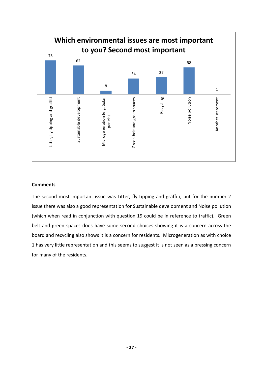

## **Comments**

The second most important issue was Litter, fly tipping and graffiti, but for the number 2 issue there was also a good representation for Sustainable development and Noise pollution (which when read in conjunction with question 19 could be in reference to traffic). Green belt and green spaces does have some second choices showing it is a concern across the board and recycling also shows it is a concern for residents. Microgeneration as with choice 1 has very little representation and this seems to suggest it is not seen as a pressing concern for many of the residents.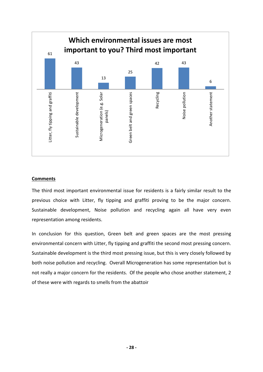

#### **Comments**

The third most important environmental issue for residents is a fairly similar result to the previous choice with Litter, fly tipping and graffiti proving to be the major concern. Sustainable development, Noise pollution and recycling again all have very even representation among residents.

In conclusion for this question, Green belt and green spaces are the most pressing environmental concern with Litter, fly tipping and graffiti the second most pressing concern. Sustainable development is the third most pressing issue, but this is very closely followed by both noise pollution and recycling. Overall Microgeneration has some representation but is not really a major concern for the residents. Of the people who chose another statement, 2 of these were with regards to smells from the abattoir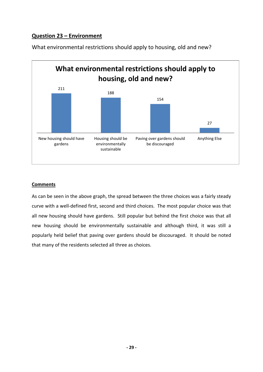# **Question 23 – Environment**



What environmental restrictions should apply to housing, old and new?

## **Comments**

As can be seen in the above graph, the spread between the three choices was a fairly steady curve with a well-defined first, second and third choices. The most popular choice was that all new housing should have gardens. Still popular but behind the first choice was that all new housing should be environmentally sustainable and although third, it was still a popularly held belief that paving over gardens should be discouraged. It should be noted that many of the residents selected all three as choices.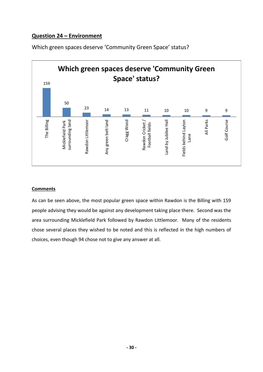# **Question 24 – Environment**



Which green spaces deserve 'Community Green Space' status?

## **Comments**

As can be seen above, the most popular green space within Rawdon is the Billing with 159 people advising they would be against any development taking place there. Second was the area surrounding Micklefield Park followed by Rawdon Littlemoor. Many of the residents chose several places they wished to be noted and this is reflected in the high numbers of choices, even though 94 chose not to give any answer at all.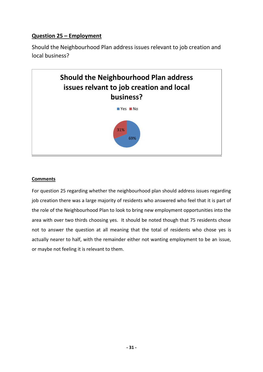# **Question 25 – Employment**

Should the Neighbourhood Plan address issues relevant to job creation and local business?



## **Comments**

For question 25 regarding whether the neighbourhood plan should address issues regarding job creation there was a large majority of residents who answered who feel that it is part of the role of the Neighbourhood Plan to look to bring new employment opportunities into the area with over two thirds choosing yes. It should be noted though that 75 residents chose not to answer the question at all meaning that the total of residents who chose yes is actually nearer to half, with the remainder either not wanting employment to be an issue, or maybe not feeling it is relevant to them.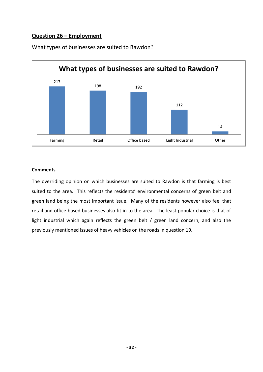## **Question 26 – Employment**



What types of businesses are suited to Rawdon?

## **Comments**

The overriding opinion on which businesses are suited to Rawdon is that farming is best suited to the area. This reflects the residents' environmental concerns of green belt and green land being the most important issue. Many of the residents however also feel that retail and office based businesses also fit in to the area. The least popular choice is that of light industrial which again reflects the green belt / green land concern, and also the previously mentioned issues of heavy vehicles on the roads in question 19.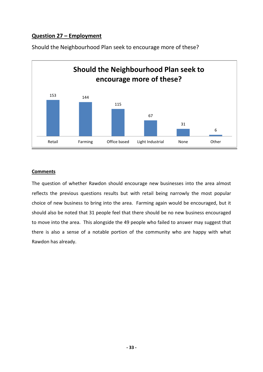# **Question 27 – Employment**



Should the Neighbourhood Plan seek to encourage more of these?

## **Comments**

The question of whether Rawdon should encourage new businesses into the area almost reflects the previous questions results but with retail being narrowly the most popular choice of new business to bring into the area. Farming again would be encouraged, but it should also be noted that 31 people feel that there should be no new business encouraged to move into the area. This alongside the 49 people who failed to answer may suggest that there is also a sense of a notable portion of the community who are happy with what Rawdon has already.